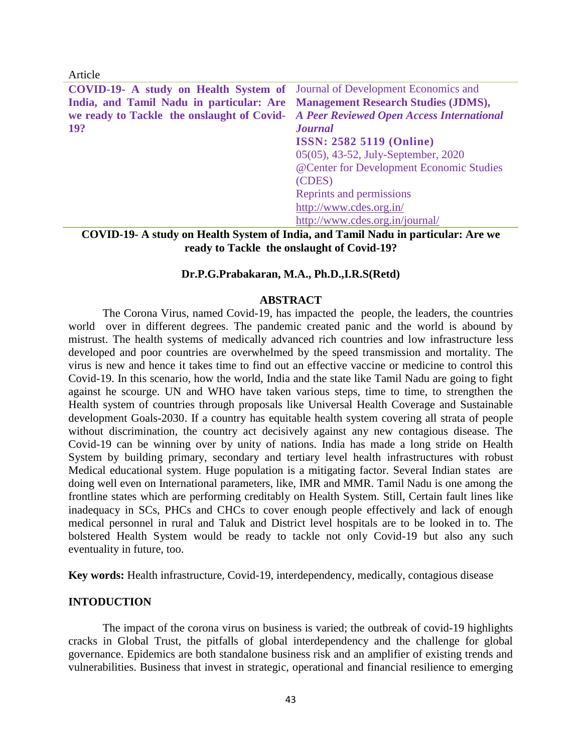Article

| COVID-19- A study on Health System of Journal of Development Economics and           |                                          |  |  |  |
|--------------------------------------------------------------------------------------|------------------------------------------|--|--|--|
| India, and Tamil Nadu in particular: Are Management Research Studies (JDMS),         |                                          |  |  |  |
| we ready to Tackle the onslaught of Covid- A Peer Reviewed Open Access International |                                          |  |  |  |
| <b>19?</b>                                                                           | <b>Journal</b>                           |  |  |  |
|                                                                                      | <b>ISSN: 2582 5119 (Online)</b>          |  |  |  |
|                                                                                      | 05(05), 43-52, July-September, 2020      |  |  |  |
|                                                                                      | @Center for Development Economic Studies |  |  |  |
|                                                                                      | (CDES)                                   |  |  |  |
|                                                                                      | Reprints and permissions                 |  |  |  |
|                                                                                      | http://www.cdes.org.in/                  |  |  |  |
|                                                                                      | http://www.cdes.org.in/journal/          |  |  |  |
|                                                                                      |                                          |  |  |  |

**COVID-19- A study on Health System of India, and Tamil Nadu in particular: Are we ready to Tackle the onslaught of Covid-19?**

#### **Dr.P.G.Prabakaran, M.A., Ph.D.,I.R.S(Retd)**

#### **ABSTRACT**

The Corona Virus, named Covid-19, has impacted the people, the leaders, the countries world over in different degrees. The pandemic created panic and the world is abound by mistrust. The health systems of medically advanced rich countries and low infrastructure less developed and poor countries are overwhelmed by the speed transmission and mortality. The virus is new and hence it takes time to find out an effective vaccine or medicine to control this Covid-19. In this scenario, how the world, India and the state like Tamil Nadu are going to fight against he scourge. UN and WHO have taken various steps, time to time, to strengthen the Health system of countries through proposals like Universal Health Coverage and Sustainable development Goals-2030. If a country has equitable health system covering all strata of people without discrimination, the country act decisively against any new contagious disease. The Covid-19 can be winning over by unity of nations. India has made a long stride on Health System by building primary, secondary and tertiary level health infrastructures with robust Medical educational system. Huge population is a mitigating factor. Several Indian states are doing well even on International parameters, like, IMR and MMR. Tamil Nadu is one among the frontline states which are performing creditably on Health System. Still, Certain fault lines like inadequacy in SCs, PHCs and CHCs to cover enough people effectively and lack of enough medical personnel in rural and Taluk and District level hospitals are to be looked in to. The bolstered Health System would be ready to tackle not only Covid-19 but also any such eventuality in future, too.

**Key words:** Health infrastructure, Covid-19, interdependency, medically, contagious disease

## **INTODUCTION**

The impact of the corona virus on business is varied; the outbreak of covid-19 highlights cracks in Global Trust, the pitfalls of global interdependency and the challenge for global governance. Epidemics are both standalone business risk and an amplifier of existing trends and vulnerabilities. Business that invest in strategic, operational and financial resilience to emerging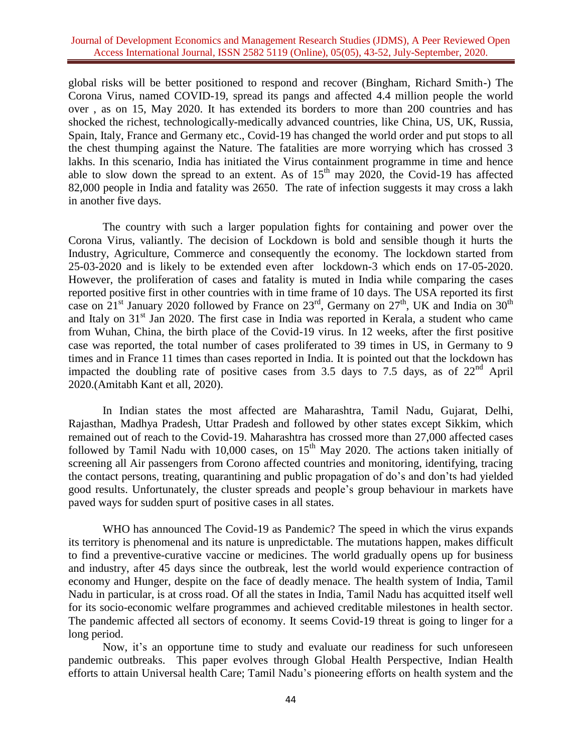global risks will be better positioned to respond and recover (Bingham, Richard Smith-) The Corona Virus, named COVID-19, spread its pangs and affected 4.4 million people the world over , as on 15, May 2020. It has extended its borders to more than 200 countries and has shocked the richest, technologically-medically advanced countries, like China, US, UK, Russia, Spain, Italy, France and Germany etc., Covid-19 has changed the world order and put stops to all the chest thumping against the Nature. The fatalities are more worrying which has crossed 3 lakhs. In this scenario, India has initiated the Virus containment programme in time and hence able to slow down the spread to an extent. As of  $15<sup>th</sup>$  may 2020, the Covid-19 has affected 82,000 people in India and fatality was 2650. The rate of infection suggests it may cross a lakh in another five days.

The country with such a larger population fights for containing and power over the Corona Virus, valiantly. The decision of Lockdown is bold and sensible though it hurts the Industry, Agriculture, Commerce and consequently the economy. The lockdown started from 25-03-2020 and is likely to be extended even after lockdown-3 which ends on 17-05-2020. However, the proliferation of cases and fatality is muted in India while comparing the cases reported positive first in other countries with in time frame of 10 days. The USA reported its first case on  $21<sup>st</sup>$  January 2020 followed by France on  $23<sup>rd</sup>$ , Germany on  $27<sup>th</sup>$ , UK and India on  $30<sup>th</sup>$ and Italy on 31<sup>st</sup> Jan 2020. The first case in India was reported in Kerala, a student who came from Wuhan, China, the birth place of the Covid-19 virus. In 12 weeks, after the first positive case was reported, the total number of cases proliferated to 39 times in US, in Germany to 9 times and in France 11 times than cases reported in India. It is pointed out that the lockdown has impacted the doubling rate of positive cases from 3.5 days to 7.5 days, as of  $22<sup>nd</sup>$  April 2020.(Amitabh Kant et all, 2020).

In Indian states the most affected are Maharashtra, Tamil Nadu, Gujarat, Delhi, Rajasthan, Madhya Pradesh, Uttar Pradesh and followed by other states except Sikkim, which remained out of reach to the Covid-19. Maharashtra has crossed more than 27,000 affected cases followed by Tamil Nadu with 10,000 cases, on  $15<sup>th</sup>$  May 2020. The actions taken initially of screening all Air passengers from Corono affected countries and monitoring, identifying, tracing the contact persons, treating, quarantining and public propagation of do's and don'ts had yielded good results. Unfortunately, the cluster spreads and people's group behaviour in markets have paved ways for sudden spurt of positive cases in all states.

WHO has announced The Covid-19 as Pandemic? The speed in which the virus expands its territory is phenomenal and its nature is unpredictable. The mutations happen, makes difficult to find a preventive-curative vaccine or medicines. The world gradually opens up for business and industry, after 45 days since the outbreak, lest the world would experience contraction of economy and Hunger, despite on the face of deadly menace. The health system of India, Tamil Nadu in particular, is at cross road. Of all the states in India, Tamil Nadu has acquitted itself well for its socio-economic welfare programmes and achieved creditable milestones in health sector. The pandemic affected all sectors of economy. It seems Covid-19 threat is going to linger for a long period.

Now, it's an opportune time to study and evaluate our readiness for such unforeseen pandemic outbreaks. This paper evolves through Global Health Perspective, Indian Health efforts to attain Universal health Care; Tamil Nadu's pioneering efforts on health system and the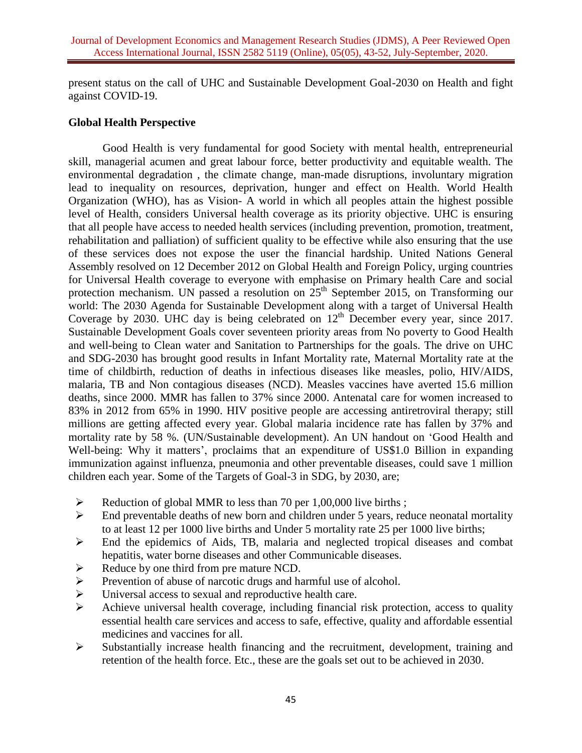present status on the call of UHC and Sustainable Development Goal-2030 on Health and fight against COVID-19.

## **Global Health Perspective**

Good Health is very fundamental for good Society with mental health, entrepreneurial skill, managerial acumen and great labour force, better productivity and equitable wealth. The environmental degradation , the climate change, man-made disruptions, involuntary migration lead to inequality on resources, deprivation, hunger and effect on Health. World Health Organization (WHO), has as Vision- A world in which all peoples attain the highest possible level of Health, considers Universal health coverage as its priority objective. UHC is ensuring that all people have access to needed health services (including prevention, promotion, treatment, rehabilitation and palliation) of sufficient quality to be effective while also ensuring that the use of these services does not expose the user the financial hardship. United Nations General Assembly resolved on 12 December 2012 on Global Health and Foreign Policy, urging countries for Universal Health coverage to everyone with emphasise on Primary health Care and social protection mechanism. UN passed a resolution on  $25<sup>th</sup>$  September 2015, on Transforming our world: The 2030 Agenda for Sustainable Development along with a target of Universal Health Coverage by 2030. UHC day is being celebrated on  $12<sup>th</sup>$  December every year, since 2017. Sustainable Development Goals cover seventeen priority areas from No poverty to Good Health and well-being to Clean water and Sanitation to Partnerships for the goals. The drive on UHC and SDG-2030 has brought good results in Infant Mortality rate, Maternal Mortality rate at the time of childbirth, reduction of deaths in infectious diseases like measles, polio, HIV/AIDS, malaria, TB and Non contagious diseases (NCD). Measles vaccines have averted 15.6 million deaths, since 2000. MMR has fallen to 37% since 2000. Antenatal care for women increased to 83% in 2012 from 65% in 1990. HIV positive people are accessing antiretroviral therapy; still millions are getting affected every year. Global malaria incidence rate has fallen by 37% and mortality rate by 58 %. (UN/Sustainable development). An UN handout on 'Good Health and Well-being: Why it matters', proclaims that an expenditure of US\$1.0 Billion in expanding immunization against influenza, pneumonia and other preventable diseases, could save 1 million children each year. Some of the Targets of Goal-3 in SDG, by 2030, are;

- $\triangleright$  Reduction of global MMR to less than 70 per 1,00,000 live births;
- $\triangleright$  End preventable deaths of new born and children under 5 years, reduce neonatal mortality to at least 12 per 1000 live births and Under 5 mortality rate 25 per 1000 live births;
- End the epidemics of Aids, TB, malaria and neglected tropical diseases and combat hepatitis, water borne diseases and other Communicable diseases.
- $\triangleright$  Reduce by one third from pre mature NCD.
- $\triangleright$  Prevention of abuse of narcotic drugs and harmful use of alcohol.
- Universal access to sexual and reproductive health care.
- $\triangleright$  Achieve universal health coverage, including financial risk protection, access to quality essential health care services and access to safe, effective, quality and affordable essential medicines and vaccines for all.
- $\triangleright$  Substantially increase health financing and the recruitment, development, training and retention of the health force. Etc., these are the goals set out to be achieved in 2030.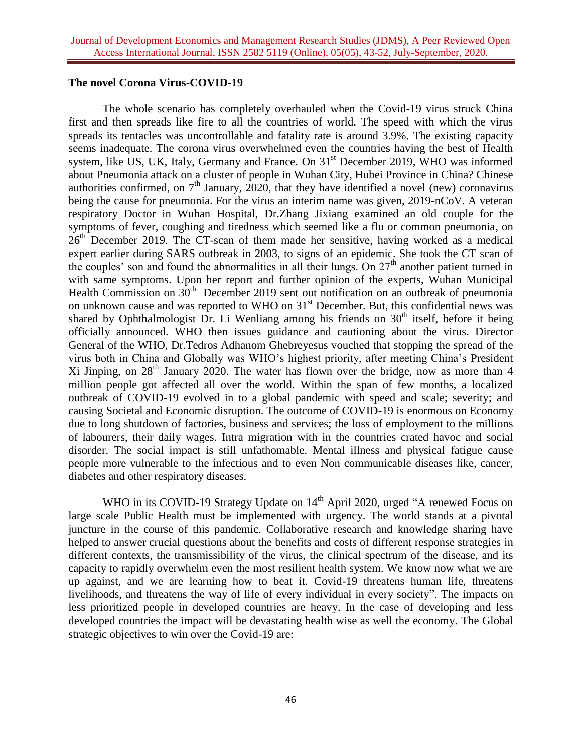### **The novel Corona Virus-COVID-19**

The whole scenario has completely overhauled when the Covid-19 virus struck China first and then spreads like fire to all the countries of world. The speed with which the virus spreads its tentacles was uncontrollable and fatality rate is around 3.9%. The existing capacity seems inadequate. The corona virus overwhelmed even the countries having the best of Health system, like US, UK, Italy, Germany and France. On  $31<sup>st</sup>$  December 2019, WHO was informed about Pneumonia attack on a cluster of people in Wuhan City, Hubei Province in China? Chinese authorities confirmed, on  $7<sup>th</sup>$  January, 2020, that they have identified a novel (new) coronavirus being the cause for pneumonia. For the virus an interim name was given, 2019-nCoV. A veteran respiratory Doctor in Wuhan Hospital, Dr.Zhang Jixiang examined an old couple for the symptoms of fever, coughing and tiredness which seemed like a flu or common pneumonia, on  $26<sup>th</sup>$  December 2019. The CT-scan of them made her sensitive, having worked as a medical expert earlier during SARS outbreak in 2003, to signs of an epidemic. She took the CT scan of the couples' son and found the abnormalities in all their lungs. On  $27<sup>th</sup>$  another patient turned in with same symptoms. Upon her report and further opinion of the experts, Wuhan Municipal Health Commission on 30<sup>th</sup> December 2019 sent out notification on an outbreak of pneumonia on unknown cause and was reported to WHO on 31<sup>st</sup> December. But, this confidential news was shared by Ophthalmologist Dr. Li Wenliang among his friends on  $30<sup>th</sup>$  itself, before it being officially announced. WHO then issues guidance and cautioning about the virus. Director General of the WHO, Dr.Tedros Adhanom Ghebreyesus vouched that stopping the spread of the virus both in China and Globally was WHO's highest priority, after meeting China's President Xi Jinping, on  $28<sup>th</sup>$  January 2020. The water has flown over the bridge, now as more than 4 million people got affected all over the world. Within the span of few months, a localized outbreak of COVID-19 evolved in to a global pandemic with speed and scale; severity; and causing Societal and Economic disruption. The outcome of COVID-19 is enormous on Economy due to long shutdown of factories, business and services; the loss of employment to the millions of labourers, their daily wages. Intra migration with in the countries crated havoc and social disorder. The social impact is still unfathomable. Mental illness and physical fatigue cause people more vulnerable to the infectious and to even Non communicable diseases like, cancer, diabetes and other respiratory diseases.

WHO in its COVID-19 Strategy Update on 14<sup>th</sup> April 2020, urged "A renewed Focus on large scale Public Health must be implemented with urgency. The world stands at a pivotal juncture in the course of this pandemic. Collaborative research and knowledge sharing have helped to answer crucial questions about the benefits and costs of different response strategies in different contexts, the transmissibility of the virus, the clinical spectrum of the disease, and its capacity to rapidly overwhelm even the most resilient health system. We know now what we are up against, and we are learning how to beat it. Covid-19 threatens human life, threatens livelihoods, and threatens the way of life of every individual in every society". The impacts on less prioritized people in developed countries are heavy. In the case of developing and less developed countries the impact will be devastating health wise as well the economy. The Global strategic objectives to win over the Covid-19 are: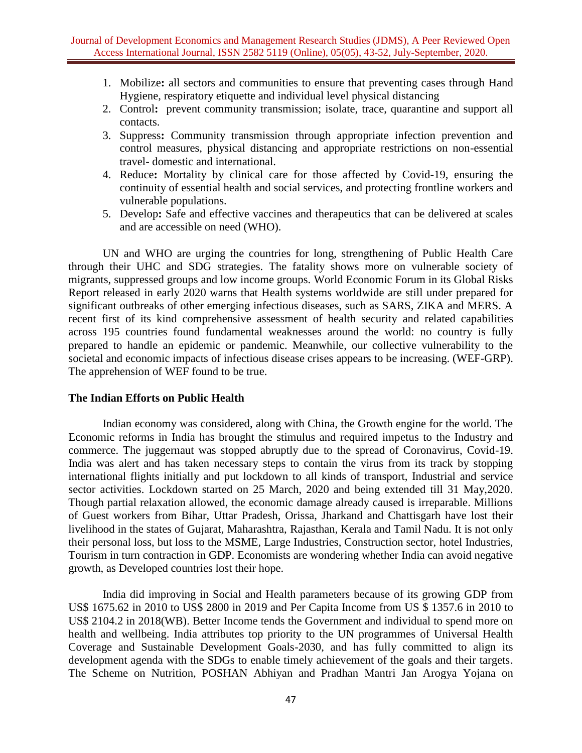- 1. Mobilize**:** all sectors and communities to ensure that preventing cases through Hand Hygiene, respiratory etiquette and individual level physical distancing
- 2. Control**:** prevent community transmission; isolate, trace, quarantine and support all contacts.
- 3. Suppress**:** Community transmission through appropriate infection prevention and control measures, physical distancing and appropriate restrictions on non-essential travel- domestic and international.
- 4. Reduce**:** Mortality by clinical care for those affected by Covid-19, ensuring the continuity of essential health and social services, and protecting frontline workers and vulnerable populations.
- 5. Develop**:** Safe and effective vaccines and therapeutics that can be delivered at scales and are accessible on need (WHO).

UN and WHO are urging the countries for long, strengthening of Public Health Care through their UHC and SDG strategies. The fatality shows more on vulnerable society of migrants, suppressed groups and low income groups. World Economic Forum in its Global Risks Report released in early 2020 warns that Health systems worldwide are still under prepared for significant outbreaks of other emerging infectious diseases, such as SARS, ZIKA and MERS. A recent first of its kind comprehensive assessment of health security and related capabilities across 195 countries found fundamental weaknesses around the world: no country is fully prepared to handle an epidemic or pandemic. Meanwhile, our collective vulnerability to the societal and economic impacts of infectious disease crises appears to be increasing. (WEF-GRP). The apprehension of WEF found to be true.

### **The Indian Efforts on Public Health**

Indian economy was considered, along with China, the Growth engine for the world. The Economic reforms in India has brought the stimulus and required impetus to the Industry and commerce. The juggernaut was stopped abruptly due to the spread of Coronavirus, Covid-19. India was alert and has taken necessary steps to contain the virus from its track by stopping international flights initially and put lockdown to all kinds of transport, Industrial and service sector activities. Lockdown started on 25 March, 2020 and being extended till 31 May,2020. Though partial relaxation allowed, the economic damage already caused is irreparable. Millions of Guest workers from Bihar, Uttar Pradesh, Orissa, Jharkand and Chattisgarh have lost their livelihood in the states of Gujarat, Maharashtra, Rajasthan, Kerala and Tamil Nadu. It is not only their personal loss, but loss to the MSME, Large Industries, Construction sector, hotel Industries, Tourism in turn contraction in GDP. Economists are wondering whether India can avoid negative growth, as Developed countries lost their hope.

India did improving in Social and Health parameters because of its growing GDP from US\$ 1675.62 in 2010 to US\$ 2800 in 2019 and Per Capita Income from US \$ 1357.6 in 2010 to US\$ 2104.2 in 2018(WB). Better Income tends the Government and individual to spend more on health and wellbeing. India attributes top priority to the UN programmes of Universal Health Coverage and Sustainable Development Goals-2030, and has fully committed to align its development agenda with the SDGs to enable timely achievement of the goals and their targets. The Scheme on Nutrition, POSHAN Abhiyan and Pradhan Mantri Jan Arogya Yojana on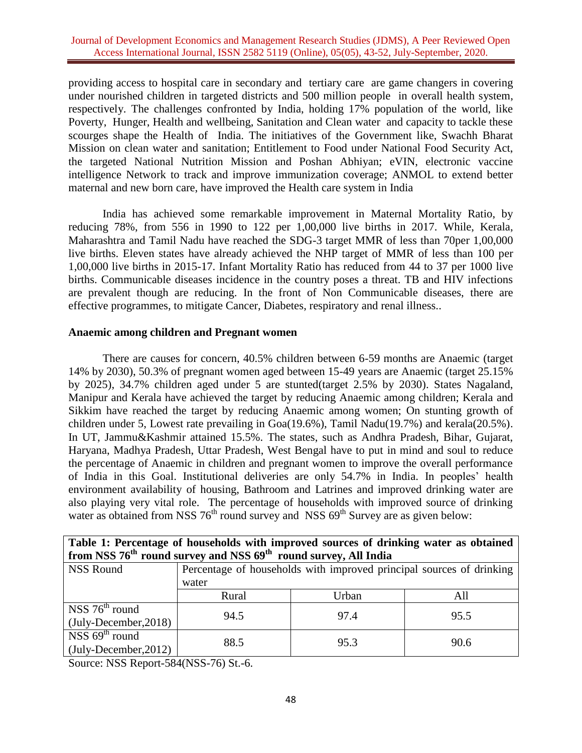providing access to hospital care in secondary and tertiary care are game changers in covering under nourished children in targeted districts and 500 million people in overall health system, respectively. The challenges confronted by India, holding 17% population of the world, like Poverty, Hunger, Health and wellbeing, Sanitation and Clean water and capacity to tackle these scourges shape the Health of India. The initiatives of the Government like, Swachh Bharat Mission on clean water and sanitation; Entitlement to Food under National Food Security Act, the targeted National Nutrition Mission and Poshan Abhiyan; eVIN, electronic vaccine intelligence Network to track and improve immunization coverage; ANMOL to extend better maternal and new born care, have improved the Health care system in India

India has achieved some remarkable improvement in Maternal Mortality Ratio, by reducing 78%, from 556 in 1990 to 122 per 1,00,000 live births in 2017. While, Kerala, Maharashtra and Tamil Nadu have reached the SDG-3 target MMR of less than 70per 1,00,000 live births. Eleven states have already achieved the NHP target of MMR of less than 100 per 1,00,000 live births in 2015-17. Infant Mortality Ratio has reduced from 44 to 37 per 1000 live births. Communicable diseases incidence in the country poses a threat. TB and HIV infections are prevalent though are reducing. In the front of Non Communicable diseases, there are effective programmes, to mitigate Cancer, Diabetes, respiratory and renal illness..

### **Anaemic among children and Pregnant women**

There are causes for concern, 40.5% children between 6-59 months are Anaemic (target 14% by 2030), 50.3% of pregnant women aged between 15-49 years are Anaemic (target 25.15% by 2025), 34.7% children aged under 5 are stunted(target 2.5% by 2030). States Nagaland, Manipur and Kerala have achieved the target by reducing Anaemic among children; Kerala and Sikkim have reached the target by reducing Anaemic among women; On stunting growth of children under 5, Lowest rate prevailing in Goa(19.6%), Tamil Nadu(19.7%) and kerala(20.5%). In UT, Jammu&Kashmir attained 15.5%. The states, such as Andhra Pradesh, Bihar, Gujarat, Haryana, Madhya Pradesh, Uttar Pradesh, West Bengal have to put in mind and soul to reduce the percentage of Anaemic in children and pregnant women to improve the overall performance of India in this Goal. Institutional deliveries are only 54.7% in India. In peoples' health environment availability of housing, Bathroom and Latrines and improved drinking water are also playing very vital role. The percentage of households with improved source of drinking water as obtained from NSS  $76<sup>th</sup>$  round survey and NSS  $69<sup>th</sup>$  Survey are as given below:

| Table 1: Percentage of households with improved sources of drinking water as obtained   |                                                                      |       |      |  |  |  |
|-----------------------------------------------------------------------------------------|----------------------------------------------------------------------|-------|------|--|--|--|
| from NSS 76 <sup>th</sup> round survey and NSS 69 <sup>th</sup> round survey, All India |                                                                      |       |      |  |  |  |
| <b>NSS Round</b>                                                                        | Percentage of households with improved principal sources of drinking |       |      |  |  |  |
|                                                                                         | water                                                                |       |      |  |  |  |
|                                                                                         | Rural                                                                | Urban | All  |  |  |  |
| NSS $76th$ round                                                                        | 94.5                                                                 | 97.4  | 95.5 |  |  |  |
| $(July-December, 2018)$                                                                 |                                                                      |       |      |  |  |  |
| $\overline{\text{NSS}}$ 69 <sup>th</sup> round                                          | 88.5                                                                 | 95.3  | 90.6 |  |  |  |
| $(\text{July-December}, 2012)$                                                          |                                                                      |       |      |  |  |  |

Source: NSS Report-584(NSS-76) St.-6.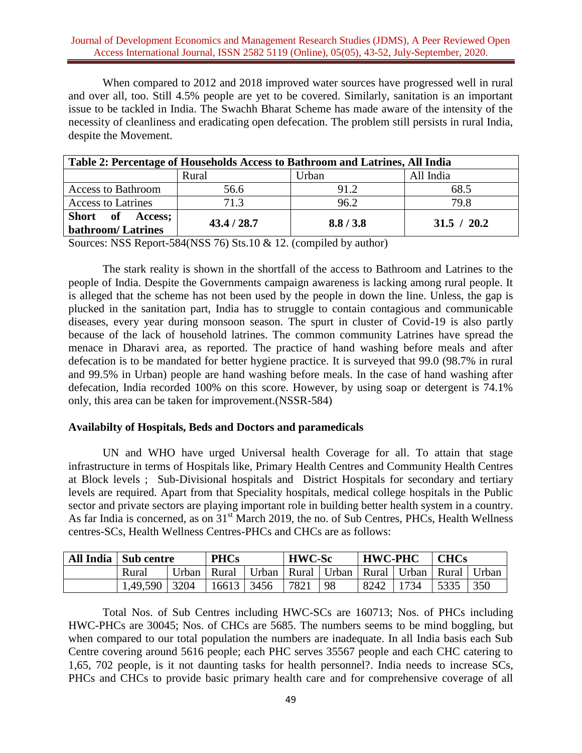When compared to 2012 and 2018 improved water sources have progressed well in rural and over all, too. Still 4.5% people are yet to be covered. Similarly, sanitation is an important issue to be tackled in India. The Swachh Bharat Scheme has made aware of the intensity of the necessity of cleanliness and eradicating open defecation. The problem still persists in rural India, despite the Movement.

| Table 2: Percentage of Households Access to Bathroom and Latrines, All India |             |         |             |  |  |  |
|------------------------------------------------------------------------------|-------------|---------|-------------|--|--|--|
|                                                                              | Rural       | Jrban   | All India   |  |  |  |
| <b>Access to Bathroom</b>                                                    | 56.6        | 91.2    | 68.5        |  |  |  |
| <b>Access to Latrines</b>                                                    | 71.3        | 96.2    | 79.8        |  |  |  |
| Short of<br><b>Access:</b><br><b>bathroom/Latrines</b>                       | 43.4 / 28.7 | 8.8/3.8 | 31.5 / 20.2 |  |  |  |

Sources: NSS Report-584(NSS 76) Sts.10 & 12. (compiled by author)

The stark reality is shown in the shortfall of the access to Bathroom and Latrines to the people of India. Despite the Governments campaign awareness is lacking among rural people. It is alleged that the scheme has not been used by the people in down the line. Unless, the gap is plucked in the sanitation part, India has to struggle to contain contagious and communicable diseases, every year during monsoon season. The spurt in cluster of Covid-19 is also partly because of the lack of household latrines. The common community Latrines have spread the menace in Dharavi area, as reported. The practice of hand washing before meals and after defecation is to be mandated for better hygiene practice. It is surveyed that 99.0 (98.7% in rural and 99.5% in Urban) people are hand washing before meals. In the case of hand washing after defecation, India recorded 100% on this score. However, by using soap or detergent is 74.1% only, this area can be taken for improvement.(NSSR-584)

## **Availabilty of Hospitals, Beds and Doctors and paramedicals**

UN and WHO have urged Universal health Coverage for all. To attain that stage infrastructure in terms of Hospitals like, Primary Health Centres and Community Health Centres at Block levels ; Sub-Divisional hospitals and District Hospitals for secondary and tertiary levels are required. Apart from that Speciality hospitals, medical college hospitals in the Public sector and private sectors are playing important role in building better health system in a country. As far India is concerned, as on  $31<sup>st</sup>$  March 2019, the no. of Sub Centres, PHCs, Health Wellness centres-SCs, Health Wellness Centres-PHCs and CHCs are as follows:

| All India   Sub centre |               | <b>PHCs</b>       |                                                       | <b>HWC-Sc</b> |    | <b>HWC-PHC</b> |      | <b>CHCs</b>      |      |
|------------------------|---------------|-------------------|-------------------------------------------------------|---------------|----|----------------|------|------------------|------|
| Rural                  | Urban   Rural |                   | Urban   Rural   Urban   Rural   Urban   Rural   Urban |               |    |                |      |                  |      |
| $1,49,590$   3204      |               | $16613 \mid 3456$ |                                                       | 7821          | 98 | 8242           | 1734 | $\frac{1}{5335}$ | -350 |

Total Nos. of Sub Centres including HWC-SCs are 160713; Nos. of PHCs including HWC-PHCs are 30045; Nos. of CHCs are 5685. The numbers seems to be mind boggling, but when compared to our total population the numbers are inadequate. In all India basis each Sub Centre covering around 5616 people; each PHC serves 35567 people and each CHC catering to 1,65, 702 people, is it not daunting tasks for health personnel?. India needs to increase SCs, PHCs and CHCs to provide basic primary health care and for comprehensive coverage of all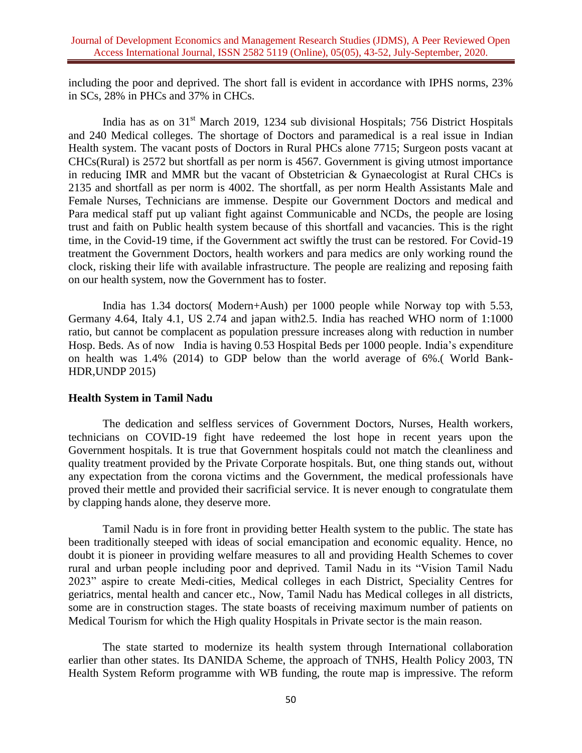including the poor and deprived. The short fall is evident in accordance with IPHS norms, 23% in SCs, 28% in PHCs and 37% in CHCs.

India has as on 31<sup>st</sup> March 2019, 1234 sub divisional Hospitals; 756 District Hospitals and 240 Medical colleges. The shortage of Doctors and paramedical is a real issue in Indian Health system. The vacant posts of Doctors in Rural PHCs alone 7715; Surgeon posts vacant at CHCs(Rural) is 2572 but shortfall as per norm is 4567. Government is giving utmost importance in reducing IMR and MMR but the vacant of Obstetrician & Gynaecologist at Rural CHCs is 2135 and shortfall as per norm is 4002. The shortfall, as per norm Health Assistants Male and Female Nurses, Technicians are immense. Despite our Government Doctors and medical and Para medical staff put up valiant fight against Communicable and NCDs, the people are losing trust and faith on Public health system because of this shortfall and vacancies. This is the right time, in the Covid-19 time, if the Government act swiftly the trust can be restored. For Covid-19 treatment the Government Doctors, health workers and para medics are only working round the clock, risking their life with available infrastructure. The people are realizing and reposing faith on our health system, now the Government has to foster.

India has 1.34 doctors( Modern+Aush) per 1000 people while Norway top with 5.53, Germany 4.64, Italy 4.1, US 2.74 and japan with2.5. India has reached WHO norm of 1:1000 ratio, but cannot be complacent as population pressure increases along with reduction in number Hosp. Beds. As of now India is having 0.53 Hospital Beds per 1000 people. India's expenditure on health was 1.4% (2014) to GDP below than the world average of 6%.( World Bank-HDR,UNDP 2015)

## **Health System in Tamil Nadu**

The dedication and selfless services of Government Doctors, Nurses, Health workers, technicians on COVID-19 fight have redeemed the lost hope in recent years upon the Government hospitals. It is true that Government hospitals could not match the cleanliness and quality treatment provided by the Private Corporate hospitals. But, one thing stands out, without any expectation from the corona victims and the Government, the medical professionals have proved their mettle and provided their sacrificial service. It is never enough to congratulate them by clapping hands alone, they deserve more.

Tamil Nadu is in fore front in providing better Health system to the public. The state has been traditionally steeped with ideas of social emancipation and economic equality. Hence, no doubt it is pioneer in providing welfare measures to all and providing Health Schemes to cover rural and urban people including poor and deprived. Tamil Nadu in its "Vision Tamil Nadu 2023" aspire to create Medi-cities, Medical colleges in each District, Speciality Centres for geriatrics, mental health and cancer etc., Now, Tamil Nadu has Medical colleges in all districts, some are in construction stages. The state boasts of receiving maximum number of patients on Medical Tourism for which the High quality Hospitals in Private sector is the main reason.

The state started to modernize its health system through International collaboration earlier than other states. Its DANIDA Scheme, the approach of TNHS, Health Policy 2003, TN Health System Reform programme with WB funding, the route map is impressive. The reform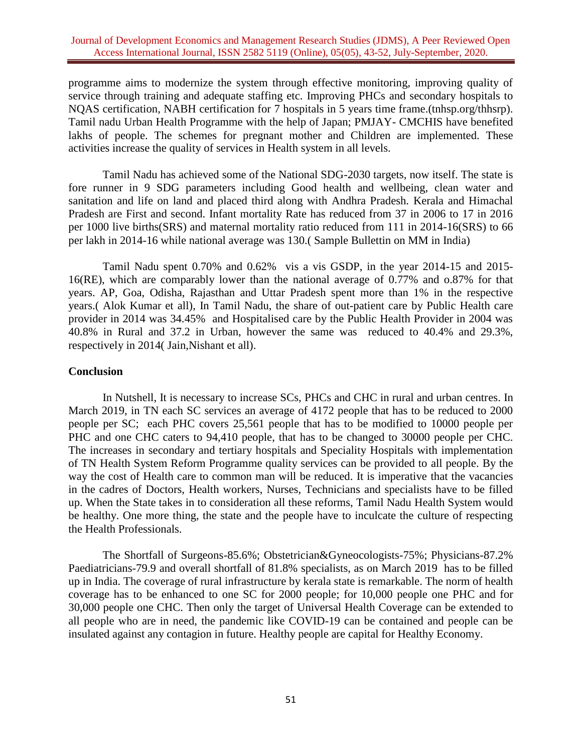programme aims to modernize the system through effective monitoring, improving quality of service through training and adequate staffing etc. Improving PHCs and secondary hospitals to NQAS certification, NABH certification for 7 hospitals in 5 years time frame.(tnhsp.org/thhsrp). Tamil nadu Urban Health Programme with the help of Japan; PMJAY- CMCHIS have benefited lakhs of people. The schemes for pregnant mother and Children are implemented. These activities increase the quality of services in Health system in all levels.

Tamil Nadu has achieved some of the National SDG-2030 targets, now itself. The state is fore runner in 9 SDG parameters including Good health and wellbeing, clean water and sanitation and life on land and placed third along with Andhra Pradesh. Kerala and Himachal Pradesh are First and second. Infant mortality Rate has reduced from 37 in 2006 to 17 in 2016 per 1000 live births(SRS) and maternal mortality ratio reduced from 111 in 2014-16(SRS) to 66 per lakh in 2014-16 while national average was 130.( Sample Bullettin on MM in India)

Tamil Nadu spent 0.70% and 0.62% vis a vis GSDP, in the year 2014-15 and 2015- 16(RE), which are comparably lower than the national average of 0.77% and o.87% for that years. AP, Goa, Odisha, Rajasthan and Uttar Pradesh spent more than 1% in the respective years.( Alok Kumar et all), In Tamil Nadu, the share of out-patient care by Public Health care provider in 2014 was 34.45% and Hospitalised care by the Public Health Provider in 2004 was 40.8% in Rural and 37.2 in Urban, however the same was reduced to 40.4% and 29.3%, respectively in 2014( Jain,Nishant et all).

### **Conclusion**

In Nutshell, It is necessary to increase SCs, PHCs and CHC in rural and urban centres. In March 2019, in TN each SC services an average of 4172 people that has to be reduced to 2000 people per SC; each PHC covers 25,561 people that has to be modified to 10000 people per PHC and one CHC caters to 94,410 people, that has to be changed to 30000 people per CHC. The increases in secondary and tertiary hospitals and Speciality Hospitals with implementation of TN Health System Reform Programme quality services can be provided to all people. By the way the cost of Health care to common man will be reduced. It is imperative that the vacancies in the cadres of Doctors, Health workers, Nurses, Technicians and specialists have to be filled up. When the State takes in to consideration all these reforms, Tamil Nadu Health System would be healthy. One more thing, the state and the people have to inculcate the culture of respecting the Health Professionals.

The Shortfall of Surgeons-85.6%; Obstetrician&Gyneocologists-75%; Physicians-87.2% Paediatricians-79.9 and overall shortfall of 81.8% specialists, as on March 2019 has to be filled up in India. The coverage of rural infrastructure by kerala state is remarkable. The norm of health coverage has to be enhanced to one SC for 2000 people; for 10,000 people one PHC and for 30,000 people one CHC. Then only the target of Universal Health Coverage can be extended to all people who are in need, the pandemic like COVID-19 can be contained and people can be insulated against any contagion in future. Healthy people are capital for Healthy Economy.